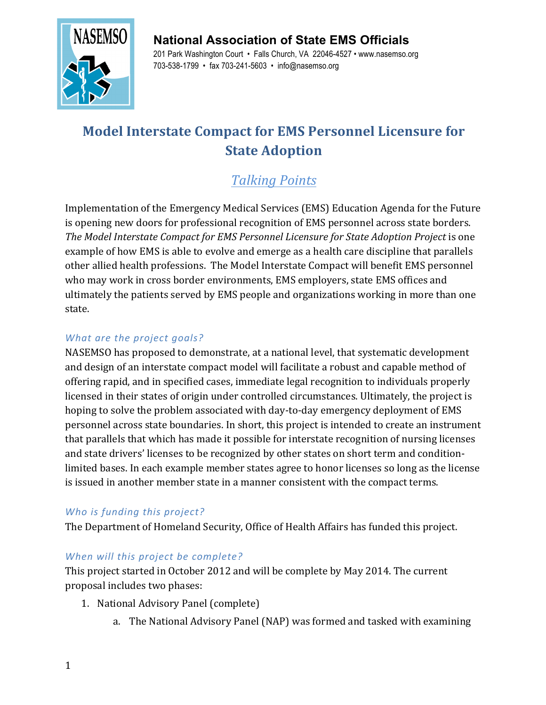# **National Association of State EMS Officials**



201 Park Washington Court • Falls Church, VA 22046-4527 • www.nasemso.org 703-538-1799 • fax 703-241-5603 • info@nasemso.org

# **Model Interstate Compact for EMS Personnel Licensure for State Adoption**

# *Talking Points*

Implementation of the Emergency Medical Services (EMS) Education Agenda for the Future is opening new doors for professional recognition of EMS personnel across state borders. *The Model Interstate Compact for EMS Personnel Licensure for State Adoption Project is one* example of how EMS is able to evolve and emerge as a health care discipline that parallels other allied health professions. The Model Interstate Compact will benefit EMS personnel who may work in cross border environments, EMS employers, state EMS offices and ultimately the patients served by EMS people and organizations working in more than one state.

#### What are the project goals?

NASEMSO has proposed to demonstrate, at a national level, that systematic development and design of an interstate compact model will facilitate a robust and capable method of offering rapid, and in specified cases, immediate legal recognition to individuals properly licensed in their states of origin under controlled circumstances. Ultimately, the project is hoping to solve the problem associated with day-to-day emergency deployment of EMS personnel across state boundaries. In short, this project is intended to create an instrument that parallels that which has made it possible for interstate recognition of nursing licenses and state drivers' licenses to be recognized by other states on short term and conditionlimited bases. In each example member states agree to honor licenses so long as the license is issued in another member state in a manner consistent with the compact terms.

## Who is funding this project?

The Department of Homeland Security, Office of Health Affairs has funded this project.

## When will this project be complete?

This project started in October 2012 and will be complete by May 2014. The current proposal includes two phases:

- 1. National Advisory Panel (complete)
	- a. The National Advisory Panel (NAP) was formed and tasked with examining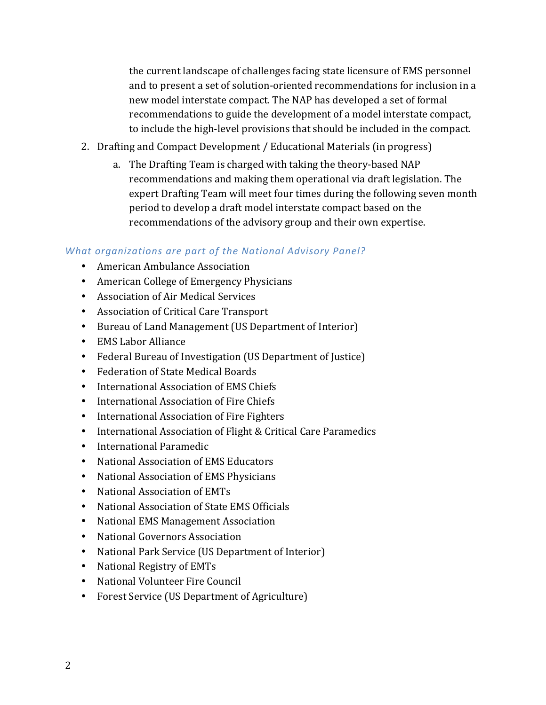the current landscape of challenges facing state licensure of EMS personnel and to present a set of solution-oriented recommendations for inclusion in a new model interstate compact. The NAP has developed a set of formal recommendations to guide the development of a model interstate compact, to include the high-level provisions that should be included in the compact.

- 2. Drafting and Compact Development / Educational Materials (in progress)
	- a. The Drafting Team is charged with taking the theory-based NAP recommendations and making them operational via draft legislation. The expert Drafting Team will meet four times during the following seven month period to develop a draft model interstate compact based on the recommendations of the advisory group and their own expertise.

#### What organizations are part of the National Advisory Panel?

- American Ambulance Association
- American College of Emergency Physicians
- Association of Air Medical Services
- Association of Critical Care Transport
- Bureau of Land Management (US Department of Interior)
- EMS Labor Alliance
- Federal Bureau of Investigation (US Department of Justice)
- Federation of State Medical Boards
- International Association of EMS Chiefs
- International Association of Fire Chiefs
- International Association of Fire Fighters
- International Association of Flight & Critical Care Paramedics
- International Paramedic
- National Association of EMS Educators
- National Association of EMS Physicians
- National Association of EMTs
- National Association of State EMS Officials
- National EMS Management Association
- National Governors Association
- National Park Service (US Department of Interior)
- National Registry of EMTs
- National Volunteer Fire Council
- Forest Service (US Department of Agriculture)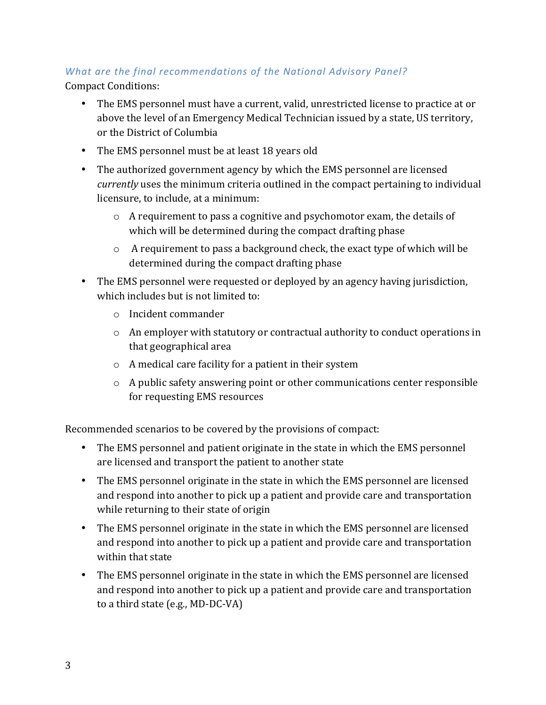## What are the final recommendations of the National Advisory Panel?

Compact Conditions:

- The EMS personnel must have a current, valid, unrestricted license to practice at or above the level of an Emergency Medical Technician issued by a state, US territory, or the District of Columbia
- The EMS personnel must be at least 18 years old
- The authorized government agency by which the EMS personnel are licensed *currently* uses the minimum criteria outlined in the compact pertaining to individual licensure, to include, at a minimum:
	- $\circ$  A requirement to pass a cognitive and psychomotor exam, the details of which will be determined during the compact drafting phase
	- $\circ$  A requirement to pass a background check, the exact type of which will be determined during the compact drafting phase
- The EMS personnel were requested or deployed by an agency having jurisdiction, which includes but is not limited to:
	- o Incident commander
	- $\circ$  An employer with statutory or contractual authority to conduct operations in that geographical area
	- $\circ$  A medical care facility for a patient in their system
	- $\circ$  A public safety answering point or other communications center responsible for requesting EMS resources

Recommended scenarios to be covered by the provisions of compact:

- The EMS personnel and patient originate in the state in which the EMS personnel are licensed and transport the patient to another state
- The EMS personnel originate in the state in which the EMS personnel are licensed and respond into another to pick up a patient and provide care and transportation while returning to their state of origin
- The EMS personnel originate in the state in which the EMS personnel are licensed and respond into another to pick up a patient and provide care and transportation within that state
- The EMS personnel originate in the state in which the EMS personnel are licensed and respond into another to pick up a patient and provide care and transportation to a third state  $(e.g., MD-DC-VA)$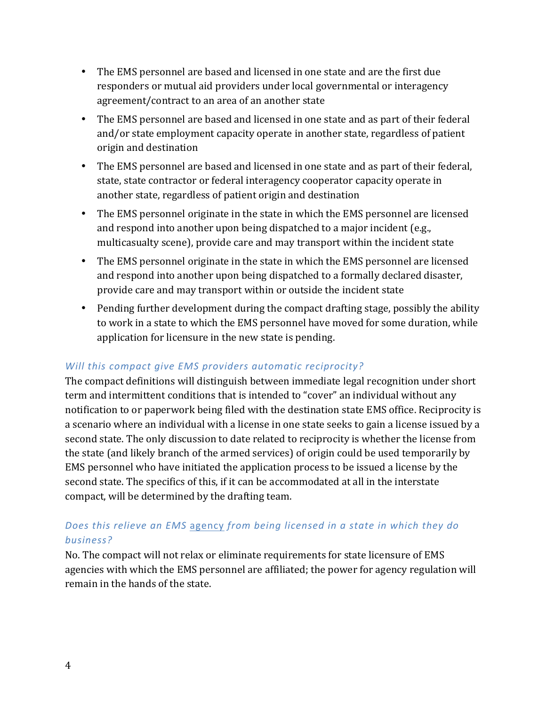- The EMS personnel are based and licensed in one state and are the first due responders or mutual aid providers under local governmental or interagency agreement/contract to an area of an another state
- The EMS personnel are based and licensed in one state and as part of their federal and/or state employment capacity operate in another state, regardless of patient origin and destination
- The EMS personnel are based and licensed in one state and as part of their federal, state, state contractor or federal interagency cooperator capacity operate in another state, regardless of patient origin and destination
- The EMS personnel originate in the state in which the EMS personnel are licensed and respond into another upon being dispatched to a major incident (e.g., multicasualty scene), provide care and may transport within the incident state
- The EMS personnel originate in the state in which the EMS personnel are licensed and respond into another upon being dispatched to a formally declared disaster, provide care and may transport within or outside the incident state
- Pending further development during the compact drafting stage, possibly the ability to work in a state to which the EMS personnel have moved for some duration, while application for licensure in the new state is pending.

#### Will this compact give EMS providers automatic reciprocity?

The compact definitions will distinguish between immediate legal recognition under short term and intermittent conditions that is intended to "cover" an individual without any notification to or paperwork being filed with the destination state EMS office. Reciprocity is a scenario where an individual with a license in one state seeks to gain a license issued by a second state. The only discussion to date related to reciprocity is whether the license from the state (and likely branch of the armed services) of origin could be used temporarily by EMS personnel who have initiated the application process to be issued a license by the second state. The specifics of this, if it can be accommodated at all in the interstate compact, will be determined by the drafting team.

#### Does this relieve an EMS agency from being licensed in a state in which they do *business?*

No. The compact will not relax or eliminate requirements for state licensure of EMS agencies with which the EMS personnel are affiliated; the power for agency regulation will remain in the hands of the state.